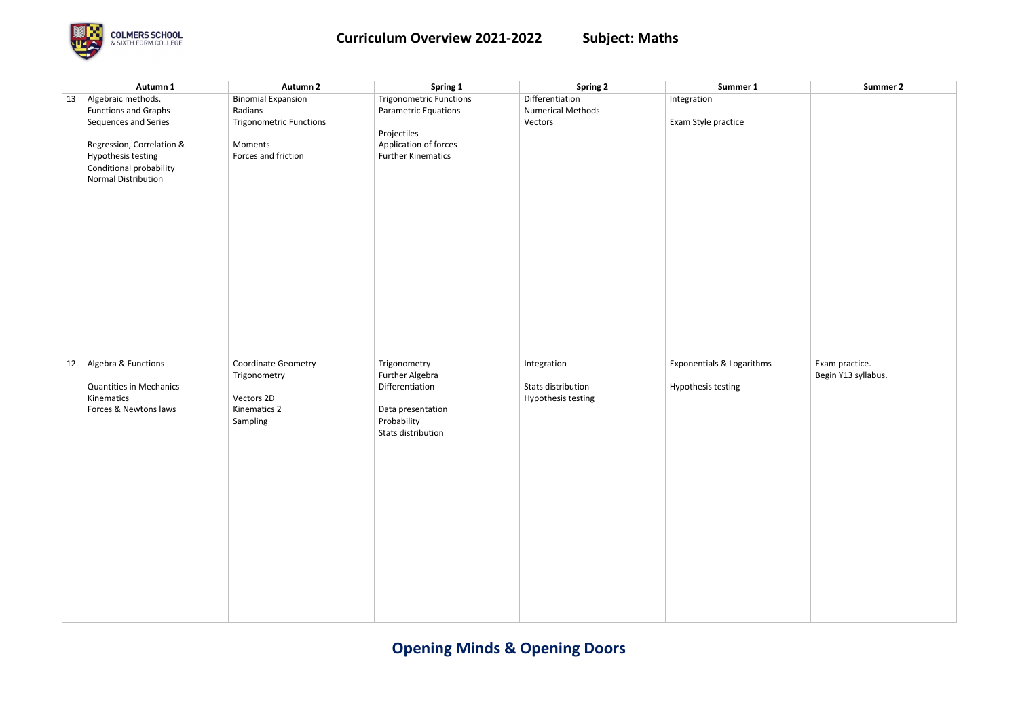# **Opening Minds & Opening Doors**



|    | Autumn 1                            | <b>Autumn 2</b>                | Spring 1                                  | <b>Spring 2</b>          | Summer 1                  | <b>Summer 2</b>     |
|----|-------------------------------------|--------------------------------|-------------------------------------------|--------------------------|---------------------------|---------------------|
| 13 | Algebraic methods.                  | <b>Binomial Expansion</b>      | <b>Trigonometric Functions</b>            | Differentiation          | Integration               |                     |
|    | <b>Functions and Graphs</b>         | Radians                        | <b>Parametric Equations</b>               | <b>Numerical Methods</b> |                           |                     |
|    | Sequences and Series                | <b>Trigonometric Functions</b> |                                           | Vectors                  | Exam Style practice       |                     |
|    |                                     |                                | Projectiles                               |                          |                           |                     |
|    | Regression, Correlation &           | Moments                        | Application of forces                     |                          |                           |                     |
|    | Hypothesis testing                  | Forces and friction            | <b>Further Kinematics</b>                 |                          |                           |                     |
|    | Conditional probability             |                                |                                           |                          |                           |                     |
|    | <b>Normal Distribution</b>          |                                |                                           |                          |                           |                     |
|    |                                     |                                |                                           |                          |                           |                     |
|    |                                     |                                |                                           |                          |                           |                     |
|    |                                     |                                |                                           |                          |                           |                     |
|    |                                     |                                |                                           |                          |                           |                     |
|    |                                     |                                |                                           |                          |                           |                     |
|    |                                     |                                |                                           |                          |                           |                     |
|    |                                     |                                |                                           |                          |                           |                     |
|    |                                     |                                |                                           |                          |                           |                     |
|    |                                     |                                |                                           |                          |                           |                     |
|    |                                     |                                |                                           |                          |                           |                     |
|    |                                     |                                |                                           |                          |                           |                     |
|    |                                     |                                |                                           |                          |                           |                     |
|    |                                     |                                |                                           |                          |                           |                     |
|    |                                     |                                |                                           |                          |                           |                     |
|    |                                     |                                |                                           |                          |                           |                     |
|    |                                     |                                |                                           |                          |                           |                     |
| 12 | Algebra & Functions                 | Coordinate Geometry            | Trigonometry                              | Integration              | Exponentials & Logarithms | Exam practice.      |
|    |                                     | Trigonometry                   | <b>Further Algebra</b><br>Differentiation |                          |                           | Begin Y13 syllabus. |
|    | <b>Quantities in Mechanics</b>      |                                |                                           | Stats distribution       | Hypothesis testing        |                     |
|    | Kinematics<br>Forces & Newtons laws | Vectors 2D                     |                                           | Hypothesis testing       |                           |                     |
|    |                                     | Kinematics 2                   | Data presentation                         |                          |                           |                     |
|    |                                     | Sampling                       | Probability                               |                          |                           |                     |
|    |                                     |                                | Stats distribution                        |                          |                           |                     |
|    |                                     |                                |                                           |                          |                           |                     |
|    |                                     |                                |                                           |                          |                           |                     |
|    |                                     |                                |                                           |                          |                           |                     |
|    |                                     |                                |                                           |                          |                           |                     |
|    |                                     |                                |                                           |                          |                           |                     |
|    |                                     |                                |                                           |                          |                           |                     |
|    |                                     |                                |                                           |                          |                           |                     |
|    |                                     |                                |                                           |                          |                           |                     |
|    |                                     |                                |                                           |                          |                           |                     |
|    |                                     |                                |                                           |                          |                           |                     |
|    |                                     |                                |                                           |                          |                           |                     |
|    |                                     |                                |                                           |                          |                           |                     |
|    |                                     |                                |                                           |                          |                           |                     |
|    |                                     |                                |                                           |                          |                           |                     |
|    |                                     |                                |                                           |                          |                           |                     |
|    |                                     |                                |                                           |                          |                           |                     |

|   | <b>Summer 2</b>     |
|---|---------------------|
|   |                     |
|   |                     |
|   |                     |
|   |                     |
|   |                     |
|   |                     |
|   |                     |
|   |                     |
|   |                     |
|   |                     |
|   |                     |
|   |                     |
|   |                     |
|   |                     |
|   |                     |
|   |                     |
|   |                     |
|   |                     |
|   |                     |
|   |                     |
|   |                     |
|   |                     |
|   |                     |
|   |                     |
|   |                     |
|   | Exam practice.      |
| ; |                     |
|   | Begin Y13 syllabus. |
|   |                     |
|   |                     |
|   |                     |
|   |                     |
|   |                     |
|   |                     |
|   |                     |
|   |                     |
|   |                     |
|   |                     |
|   |                     |
|   |                     |
|   |                     |
|   |                     |
|   |                     |
|   |                     |
|   |                     |
|   |                     |
|   |                     |
|   |                     |
|   |                     |
|   |                     |
|   |                     |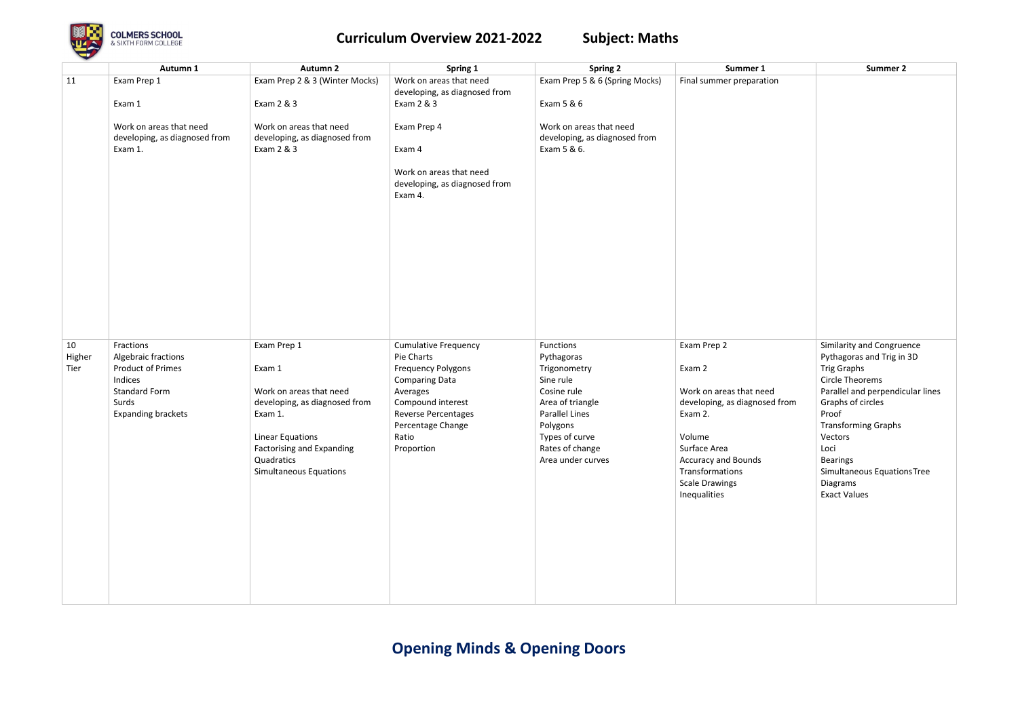

|        | Autumn 1                      | <b>Autumn 2</b>                  | Spring 1                                 | <b>Spring 2</b>                | Summer 1                                 | <b>Summer 2</b>                   |
|--------|-------------------------------|----------------------------------|------------------------------------------|--------------------------------|------------------------------------------|-----------------------------------|
| 11     | Exam Prep 1                   | Exam Prep 2 & 3 (Winter Mocks)   | Work on areas that need                  | Exam Prep 5 & 6 (Spring Mocks) | Final summer preparation                 |                                   |
|        |                               |                                  | developing, as diagnosed from            |                                |                                          |                                   |
|        | Exam 1                        | Exam 2 & 3                       | Exam 2 & 3                               | Exam 5 & 6                     |                                          |                                   |
|        | Work on areas that need       | Work on areas that need          | Exam Prep 4                              | Work on areas that need        |                                          |                                   |
|        | developing, as diagnosed from | developing, as diagnosed from    |                                          | developing, as diagnosed from  |                                          |                                   |
|        | Exam 1.                       | Exam 2 & 3                       | Exam 4                                   | Exam 5 & 6.                    |                                          |                                   |
|        |                               |                                  | Work on areas that need                  |                                |                                          |                                   |
|        |                               |                                  |                                          |                                |                                          |                                   |
|        |                               |                                  | developing, as diagnosed from<br>Exam 4. |                                |                                          |                                   |
|        |                               |                                  |                                          |                                |                                          |                                   |
|        |                               |                                  |                                          |                                |                                          |                                   |
|        |                               |                                  |                                          |                                |                                          |                                   |
|        |                               |                                  |                                          |                                |                                          |                                   |
|        |                               |                                  |                                          |                                |                                          |                                   |
|        |                               |                                  |                                          |                                |                                          |                                   |
|        |                               |                                  |                                          |                                |                                          |                                   |
|        |                               |                                  |                                          |                                |                                          |                                   |
|        |                               |                                  |                                          |                                |                                          |                                   |
|        |                               |                                  |                                          |                                |                                          |                                   |
|        |                               |                                  |                                          |                                |                                          |                                   |
| 10     | Fractions                     | Exam Prep 1                      | <b>Cumulative Frequency</b>              | Functions                      | Exam Prep 2                              | Similarity and Congrue            |
| Higher | Algebraic fractions           |                                  | Pie Charts                               | Pythagoras                     |                                          | Pythagoras and Trig in            |
| Tier   | <b>Product of Primes</b>      | Exam 1                           | <b>Frequency Polygons</b>                | Trigonometry                   | Exam 2                                   | <b>Trig Graphs</b>                |
|        | Indices                       |                                  | <b>Comparing Data</b>                    | Sine rule                      |                                          | <b>Circle Theorems</b>            |
|        | <b>Standard Form</b>          | Work on areas that need          | Averages                                 | Cosine rule                    | Work on areas that need                  | Parallel and perpendic            |
|        | Surds                         | developing, as diagnosed from    | Compound interest                        | Area of triangle               | developing, as diagnosed from            | Graphs of circles                 |
|        | <b>Expanding brackets</b>     | Exam 1.                          | Reverse Percentages                      | <b>Parallel Lines</b>          | Exam 2.                                  | Proof                             |
|        |                               |                                  | Percentage Change                        | Polygons                       |                                          | <b>Transforming Graphs</b>        |
|        |                               | <b>Linear Equations</b>          | Ratio                                    | Types of curve                 | Volume                                   | Vectors                           |
|        |                               | <b>Factorising and Expanding</b> | Proportion                               | Rates of change                | Surface Area                             | Loci                              |
|        |                               | Quadratics                       |                                          | Area under curves              | <b>Accuracy and Bounds</b>               | <b>Bearings</b>                   |
|        |                               | Simultaneous Equations           |                                          |                                | Transformations<br><b>Scale Drawings</b> | Simultaneous Equation<br>Diagrams |
|        |                               |                                  |                                          |                                | Inequalities                             | <b>Exact Values</b>               |
|        |                               |                                  |                                          |                                |                                          |                                   |
|        |                               |                                  |                                          |                                |                                          |                                   |
|        |                               |                                  |                                          |                                |                                          |                                   |
|        |                               |                                  |                                          |                                |                                          |                                   |
|        |                               |                                  |                                          |                                |                                          |                                   |
|        |                               |                                  |                                          |                                |                                          |                                   |
|        |                               |                                  |                                          |                                |                                          |                                   |
|        |                               |                                  |                                          |                                |                                          |                                   |
|        |                               |                                  |                                          |                                |                                          |                                   |

|             | <b>Summer 2</b>                                                                                                                                                                                                                                                                                                |
|-------------|----------------------------------------------------------------------------------------------------------------------------------------------------------------------------------------------------------------------------------------------------------------------------------------------------------------|
| on          |                                                                                                                                                                                                                                                                                                                |
| d<br>d from | Similarity and Congruence<br>Pythagoras and Trig in 3D<br><b>Trig Graphs</b><br><b>Circle Theorems</b><br>Parallel and perpendicular lines<br>Graphs of circles<br>Proof<br><b>Transforming Graphs</b><br>Vectors<br>Loci<br><b>Bearings</b><br>Simultaneous Equations Tree<br>Diagrams<br><b>Exact Values</b> |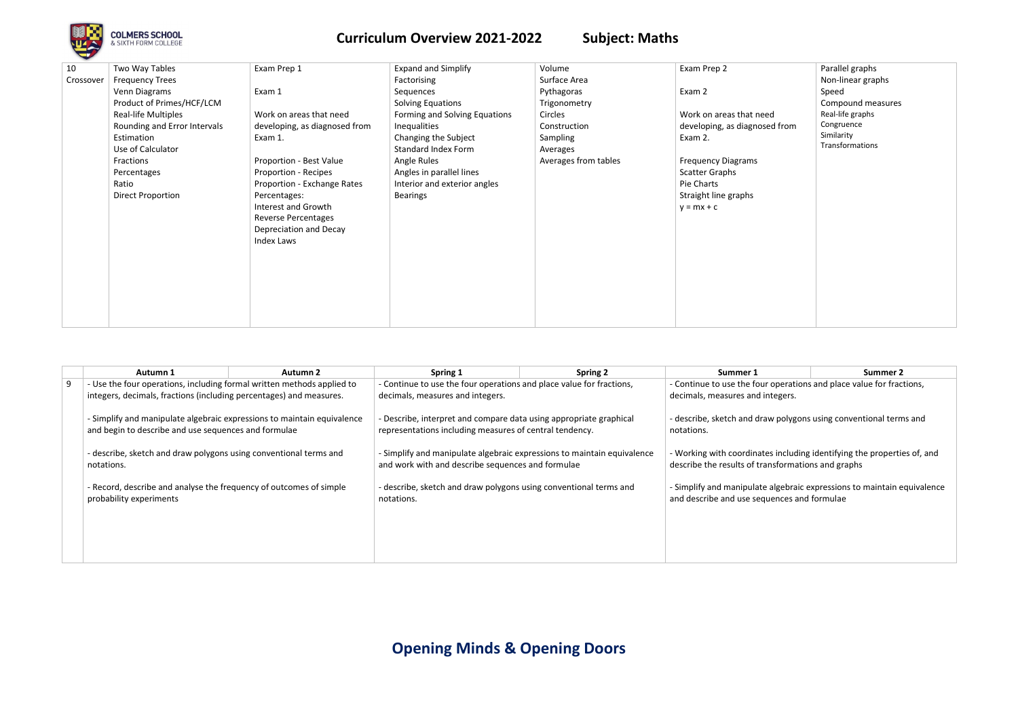**Opening Minds & Opening Doors**



| 10<br>Crossover | Two Way Tables<br><b>Frequency Trees</b><br>Venn Diagrams<br>Product of Primes/HCF/LCM<br>Real-life Multiples<br>Rounding and Error Intervals<br>Estimation<br>Use of Calculator<br>Fractions<br>Percentages<br>Ratio<br><b>Direct Proportion</b> | Exam Prep 1<br>Exam 1<br>Work on areas that need<br>developing, as diagnosed from<br>Exam 1.<br>Proportion - Best Value<br>Proportion - Recipes<br>Proportion - Exchange Rates<br>Percentages:<br>Interest and Growth<br><b>Reverse Percentages</b><br>Depreciation and Decay<br>Index Laws | <b>Expand and Simplify</b><br>Factorising<br>Sequences<br>Solving Equations<br>Forming and Solving Equations<br>Inequalities<br>Changing the Subject<br>Standard Index Form<br>Angle Rules<br>Angles in parallel lines<br>Interior and exterior angles<br><b>Bearings</b> | Volume<br>Surface Area<br>Pythagoras<br>Trigonometry<br>Circles<br>Construction<br>Sampling<br>Averages<br>Averages from tables | Exam Prep 2<br>Exam 2<br>Work on areas that need<br>developing, as diagnosed from<br>Exam 2.<br><b>Frequency Diagrams</b><br><b>Scatter Graphs</b><br>Pie Charts<br>Straight line graphs<br>$y = mx + c$ | Parallel graphs<br>Non-linear graphs<br>Speed<br>Compound measures<br>Real-life graphs<br>Congruence<br>Similarity<br>Transformations |
|-----------------|---------------------------------------------------------------------------------------------------------------------------------------------------------------------------------------------------------------------------------------------------|---------------------------------------------------------------------------------------------------------------------------------------------------------------------------------------------------------------------------------------------------------------------------------------------|---------------------------------------------------------------------------------------------------------------------------------------------------------------------------------------------------------------------------------------------------------------------------|---------------------------------------------------------------------------------------------------------------------------------|----------------------------------------------------------------------------------------------------------------------------------------------------------------------------------------------------------|---------------------------------------------------------------------------------------------------------------------------------------|
|                 |                                                                                                                                                                                                                                                   |                                                                                                                                                                                                                                                                                             |                                                                                                                                                                                                                                                                           |                                                                                                                                 |                                                                                                                                                                                                          |                                                                                                                                       |

|     | Autumn 1                                                                | <b>Autumn 2</b> | Spring 1                                                                | <b>Spring 2</b> | Summer 1                                                                | Summer 2 |
|-----|-------------------------------------------------------------------------|-----------------|-------------------------------------------------------------------------|-----------------|-------------------------------------------------------------------------|----------|
| . g | - Use the four operations, including formal written methods applied to  |                 | - Continue to use the four operations and place value for fractions,    |                 | - Continue to use the four operations and place value for fractions,    |          |
|     | integers, decimals, fractions (including percentages) and measures.     |                 | decimals, measures and integers.                                        |                 | decimals, measures and integers.                                        |          |
|     | - Simplify and manipulate algebraic expressions to maintain equivalence |                 | - Describe, interpret and compare data using appropriate graphical      |                 | - describe, sketch and draw polygons using conventional terms and       |          |
|     | and begin to describe and use sequences and formulae                    |                 | representations including measures of central tendency.                 |                 | notations.                                                              |          |
|     | - describe, sketch and draw polygons using conventional terms and       |                 | - Simplify and manipulate algebraic expressions to maintain equivalence |                 | - Working with coordinates including identifying the properties of, and |          |
|     | notations.                                                              |                 | and work with and describe sequences and formulae                       |                 | describe the results of transformations and graphs                      |          |
|     | - Record, describe and analyse the frequency of outcomes of simple      |                 | - describe, sketch and draw polygons using conventional terms and       |                 | - Simplify and manipulate algebraic expressions to maintain equivalence |          |
|     | probability experiments                                                 |                 | notations.                                                              |                 | and describe and use sequences and formulae                             |          |
|     |                                                                         |                 |                                                                         |                 |                                                                         |          |